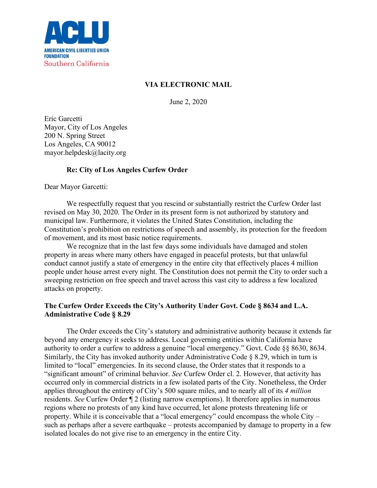

# **VIA ELECTRONIC MAIL**

June 2, 2020

Eric Garcetti Mayor, City of Los Angeles 200 N. Spring Street Los Angeles, CA 90012 mayor.helpdesk@lacity.org

# **Re: City of Los Angeles Curfew Order**

Dear Mayor Garcetti:

We respectfully request that you rescind or substantially restrict the Curfew Order last revised on May 30, 2020. The Order in its present form is not authorized by statutory and municipal law. Furthermore, it violates the United States Constitution, including the Constitution's prohibition on restrictions of speech and assembly, its protection for the freedom of movement, and its most basic notice requirements.

We recognize that in the last few days some individuals have damaged and stolen property in areas where many others have engaged in peaceful protests, but that unlawful conduct cannot justify a state of emergency in the entire city that effectively places 4 million people under house arrest every night. The Constitution does not permit the City to order such a sweeping restriction on free speech and travel across this vast city to address a few localized attacks on property.

## **The Curfew Order Exceeds the City's Authority Under Govt. Code § 8634 and L.A. Administrative Code § 8.29**

The Order exceeds the City's statutory and administrative authority because it extends far beyond any emergency it seeks to address. Local governing entities within California have authority to order a curfew to address a genuine "local emergency." Govt. Code §§ 8630, 8634. Similarly, the City has invoked authority under Administrative Code § 8.29, which in turn is limited to "local" emergencies. In its second clause, the Order states that it responds to a "significant amount" of criminal behavior. *See* Curfew Order cl. 2. However, that activity has occurred only in commercial districts in a few isolated parts of the City. Nonetheless, the Order applies throughout the entirety of City's 500 square miles, and to nearly all of its *4 million* residents. *See* Curfew Order ¶ 2 (listing narrow exemptions). It therefore applies in numerous regions where no protests of any kind have occurred, let alone protests threatening life or property. While it is conceivable that a "local emergency" could encompass the whole City – such as perhaps after a severe earthquake – protests accompanied by damage to property in a few isolated locales do not give rise to an emergency in the entire City.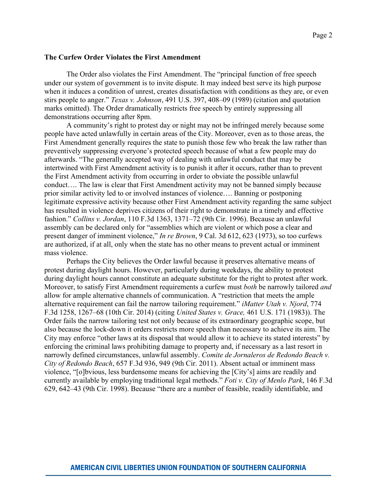#### **The Curfew Order Violates the First Amendment**

The Order also violates the First Amendment. The "principal function of free speech under our system of government is to invite dispute. It may indeed best serve its high purpose when it induces a condition of unrest, creates dissatisfaction with conditions as they are, or even stirs people to anger." *Texas v. Johnson*, 491 U.S. 397, 408–09 (1989) (citation and quotation marks omitted). The Order dramatically restricts free speech by entirely suppressing all demonstrations occurring after 8pm.

A community's right to protest day or night may not be infringed merely because some people have acted unlawfully in certain areas of the City. Moreover, even as to those areas, the First Amendment generally requires the state to punish those few who break the law rather than preventively suppressing everyone's protected speech because of what a few people may do afterwards. "The generally accepted way of dealing with unlawful conduct that may be intertwined with First Amendment activity is to punish it after it occurs, rather than to prevent the First Amendment activity from occurring in order to obviate the possible unlawful conduct…. The law is clear that First Amendment activity may not be banned simply because prior similar activity led to or involved instances of violence…. Banning or postponing legitimate expressive activity because other First Amendment activity regarding the same subject has resulted in violence deprives citizens of their right to demonstrate in a timely and effective fashion." *Collins v. Jordan*, 110 F.3d 1363, 1371–72 (9th Cir. 1996). Because an unlawful assembly can be declared only for "assemblies which are violent or which pose a clear and present danger of imminent violence," *In re Brown*, 9 Cal. 3d 612, 623 (1973), so too curfews are authorized, if at all, only when the state has no other means to prevent actual or imminent mass violence.

Perhaps the City believes the Order lawful because it preserves alternative means of protest during daylight hours. However, particularly during weekdays, the ability to protest during daylight hours cannot constitute an adequate substitute for the right to protest after work. Moreover, to satisfy First Amendment requirements a curfew must *both* be narrowly tailored *and* allow for ample alternative channels of communication. A "restriction that meets the ample alternative requirement can fail the narrow tailoring requirement." *iMatter Utah v. Njord*, 774 F.3d 1258, 1267–68 (10th Cir. 2014) (citing *United States v. Grace,* 461 U.S. 171 (1983)). The Order fails the narrow tailoring test not only because of its extraordinary geographic scope, but also because the lock-down it orders restricts more speech than necessary to achieve its aim. The City may enforce "other laws at its disposal that would allow it to achieve its stated interests" by enforcing the criminal laws prohibiting damage to property and, if necessary as a last resort in narrowly defined circumstances, unlawful assembly. *Comite de Jornaleros de Redondo Beach v. City of Redondo Beach*, 657 F.3d 936, 949 (9th Cir. 2011). Absent actual or imminent mass violence, "[o]bvious, less burdensome means for achieving the [City's] aims are readily and currently available by employing traditional legal methods." *Foti v. City of Menlo Park*, 146 F.3d 629, 642–43 (9th Cir. 1998). Because "there are a number of feasible, readily identifiable, and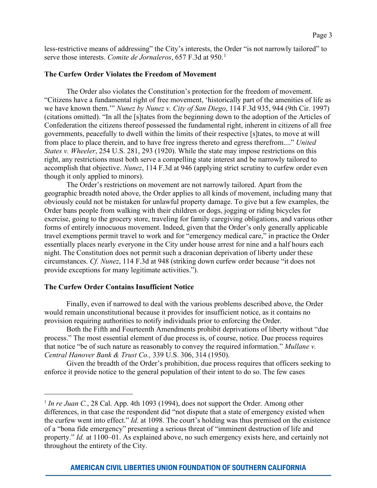less-restrictive means of addressing" the City's interests, the Order "is not narrowly tailored" to serve those interests. *Comite de Jornaleros*, 657 F.3d at 950.<sup>[1](#page-2-0)</sup>

### **The Curfew Order Violates the Freedom of Movement**

The Order also violates the Constitution's protection for the freedom of movement. "Citizens have a fundamental right of free movement, 'historically part of the amenities of life as we have known them.'" *Nunez by Nunez v. City of San Diego*, 114 F.3d 935, 944 (9th Cir. 1997) (citations omitted). "In all the [s]tates from the beginning down to the adoption of the Articles of Confederation the citizens thereof possessed the fundamental right, inherent in citizens of all free governments, peacefully to dwell within the limits of their respective [s]tates, to move at will from place to place therein, and to have free ingress thereto and egress therefrom...." *United States v. Wheeler*, 254 U.S. 281, 293 (1920). While the state may impose restrictions on this right, any restrictions must both serve a compelling state interest and be narrowly tailored to accomplish that objective. *Nunez*, 114 F.3d at 946 (applying strict scrutiny to curfew order even though it only applied to minors).

The Order's restrictions on movement are not narrowly tailored. Apart from the geographic breadth noted above, the Order applies to all kinds of movement, including many that obviously could not be mistaken for unlawful property damage. To give but a few examples, the Order bans people from walking with their children or dogs, jogging or riding bicycles for exercise, going to the grocery store, traveling for family caregiving obligations, and various other forms of entirely innocuous movement. Indeed, given that the Order's only generally applicable travel exemptions permit travel to work and for "emergency medical care," in practice the Order essentially places nearly everyone in the City under house arrest for nine and a half hours each night. The Constitution does not permit such a draconian deprivation of liberty under these circumstances. *Cf. Nunez*, 114 F.3d at 948 (striking down curfew order because "it does not provide exceptions for many legitimate activities.").

#### **The Curfew Order Contains Insufficient Notice**

Finally, even if narrowed to deal with the various problems described above, the Order would remain unconstitutional because it provides for insufficient notice, as it contains no provision requiring authorities to notify individuals prior to enforcing the Order.

Both the Fifth and Fourteenth Amendments prohibit deprivations of liberty without "due process." The most essential element of due process is, of course, notice. Due process requires that notice "be of such nature as reasonably to convey the required information." *Mullane v. Central Hanover Bank & Trust Co.,* 339 U.S. 306, 314 (1950).

Given the breadth of the Order's prohibition, due process requires that officers seeking to enforce it provide notice to the general population of their intent to do so. The few cases

<span id="page-2-0"></span><sup>&</sup>lt;sup>1</sup> *In re Juan C.*, 28 Cal. App. 4th 1093 (1994), does not support the Order. Among other differences, in that case the respondent did "not dispute that a state of emergency existed when the curfew went into effect." *Id.* at 1098. The court's holding was thus premised on the existence of a "bona fide emergency" presenting a serious threat of "imminent destruction of life and property." *Id.* at 1100–01. As explained above, no such emergency exists here, and certainly not throughout the entirety of the City.